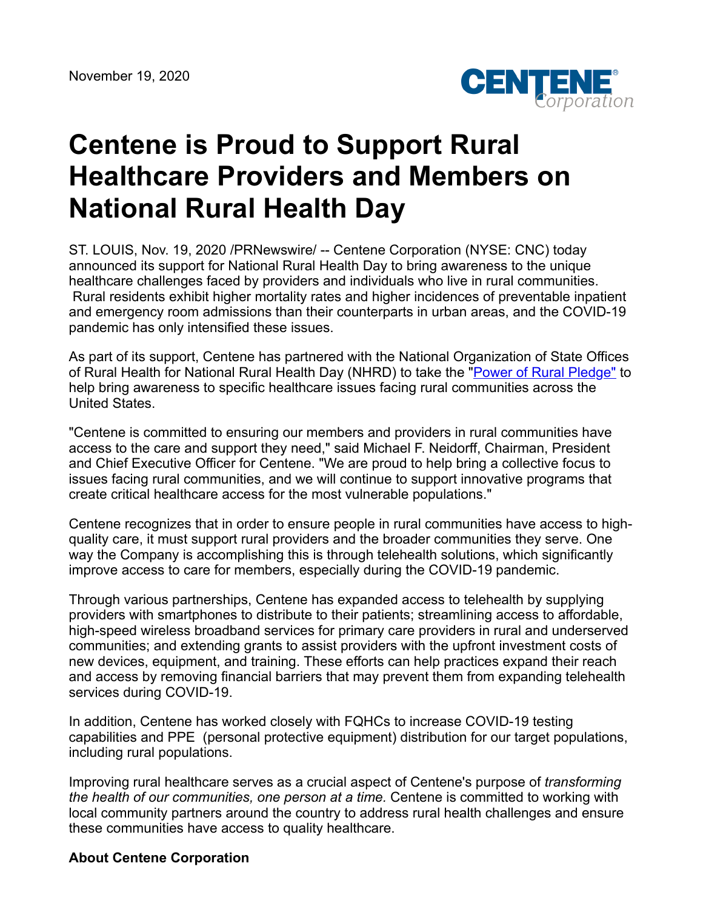

## **Centene is Proud to Support Rural Healthcare Providers and Members on National Rural Health Day**

ST. LOUIS, Nov. 19, 2020 /PRNewswire/ -- Centene Corporation (NYSE: CNC) today announced its support for National Rural Health Day to bring awareness to the unique healthcare challenges faced by providers and individuals who live in rural communities. Rural residents exhibit higher mortality rates and higher incidences of preventable inpatient and emergency room admissions than their counterparts in urban areas, and the COVID-19 pandemic has only intensified these issues.

As part of its support, Centene has partnered with the National Organization of State Offices of Rural Health for National Rural Health Day (NHRD) to take the ["Power of Rural Pledge"](https://www.powerofrural.org/take-the-pledge/?_sm_au_=iMVD2qqPQjNDWRMHjfWTjK3MJqsGG) to help bring awareness to specific healthcare issues facing rural communities across the United States.

"Centene is committed to ensuring our members and providers in rural communities have access to the care and support they need," said Michael F. Neidorff, Chairman, President and Chief Executive Officer for Centene. "We are proud to help bring a collective focus to issues facing rural communities, and we will continue to support innovative programs that create critical healthcare access for the most vulnerable populations."

Centene recognizes that in order to ensure people in rural communities have access to highquality care, it must support rural providers and the broader communities they serve. One way the Company is accomplishing this is through telehealth solutions, which significantly improve access to care for members, especially during the COVID-19 pandemic.

Through various partnerships, Centene has expanded access to telehealth by supplying providers with smartphones to distribute to their patients; streamlining access to affordable, high-speed wireless broadband services for primary care providers in rural and underserved communities; and extending grants to assist providers with the upfront investment costs of new devices, equipment, and training. These efforts can help practices expand their reach and access by removing financial barriers that may prevent them from expanding telehealth services during COVID-19.

In addition, Centene has worked closely with FQHCs to increase COVID-19 testing capabilities and PPE (personal protective equipment) distribution for our target populations, including rural populations.

Improving rural healthcare serves as a crucial aspect of Centene's purpose of *transforming the health of our communities, one person at a time.* Centene is committed to working with local community partners around the country to address rural health challenges and ensure these communities have access to quality healthcare.

## **About Centene Corporation**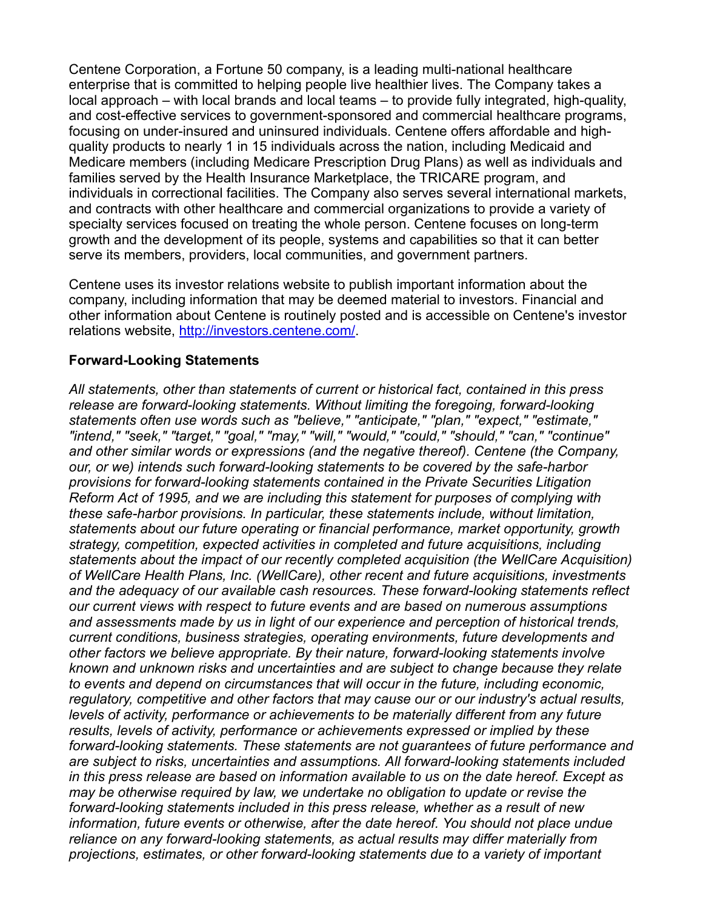Centene Corporation, a Fortune 50 company, is a leading multi-national healthcare enterprise that is committed to helping people live healthier lives. The Company takes a local approach – with local brands and local teams – to provide fully integrated, high-quality, and cost-effective services to government-sponsored and commercial healthcare programs, focusing on under-insured and uninsured individuals. Centene offers affordable and highquality products to nearly 1 in 15 individuals across the nation, including Medicaid and Medicare members (including Medicare Prescription Drug Plans) as well as individuals and families served by the Health Insurance Marketplace, the TRICARE program, and individuals in correctional facilities. The Company also serves several international markets, and contracts with other healthcare and commercial organizations to provide a variety of specialty services focused on treating the whole person. Centene focuses on long-term growth and the development of its people, systems and capabilities so that it can better serve its members, providers, local communities, and government partners.

Centene uses its investor relations website to publish important information about the company, including information that may be deemed material to investors. Financial and other information about Centene is routinely posted and is accessible on Centene's investor relations website, [http://investors.centene.com/.](http://investors.centene.com/)

## **Forward-Looking Statements**

*All statements, other than statements of current or historical fact, contained in this press release are forward-looking statements. Without limiting the foregoing, forward-looking statements often use words such as "believe," "anticipate," "plan," "expect," "estimate," "intend," "seek," "target," "goal," "may," "will," "would," "could," "should," "can," "continue" and other similar words or expressions (and the negative thereof). Centene (the Company, our, or we) intends such forward-looking statements to be covered by the safe-harbor provisions for forward-looking statements contained in the Private Securities Litigation Reform Act of 1995, and we are including this statement for purposes of complying with these safe-harbor provisions. In particular, these statements include, without limitation, statements about our future operating or financial performance, market opportunity, growth strategy, competition, expected activities in completed and future acquisitions, including statements about the impact of our recently completed acquisition (the WellCare Acquisition) of WellCare Health Plans, Inc. (WellCare), other recent and future acquisitions, investments and the adequacy of our available cash resources. These forward-looking statements reflect our current views with respect to future events and are based on numerous assumptions and assessments made by us in light of our experience and perception of historical trends, current conditions, business strategies, operating environments, future developments and other factors we believe appropriate. By their nature, forward-looking statements involve known and unknown risks and uncertainties and are subject to change because they relate to events and depend on circumstances that will occur in the future, including economic, regulatory, competitive and other factors that may cause our or our industry's actual results, levels of activity, performance or achievements to be materially different from any future results, levels of activity, performance or achievements expressed or implied by these forward-looking statements. These statements are not guarantees of future performance and are subject to risks, uncertainties and assumptions. All forward-looking statements included in this press release are based on information available to us on the date hereof. Except as may be otherwise required by law, we undertake no obligation to update or revise the forward-looking statements included in this press release, whether as a result of new information, future events or otherwise, after the date hereof. You should not place undue reliance on any forward-looking statements, as actual results may differ materially from projections, estimates, or other forward-looking statements due to a variety of important*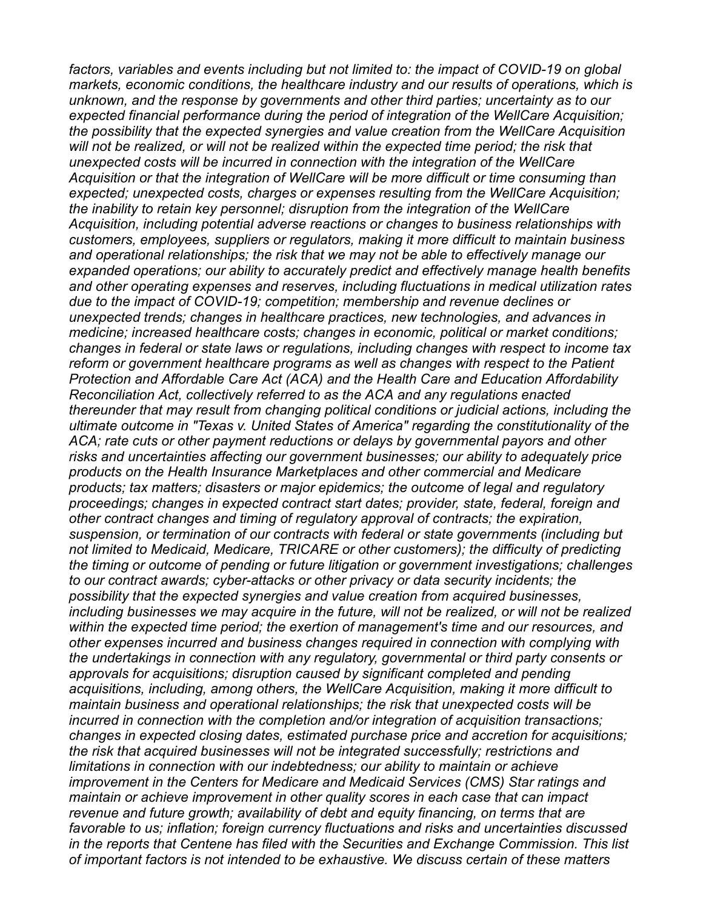*factors, variables and events including but not limited to: the impact of COVID-19 on global markets, economic conditions, the healthcare industry and our results of operations, which is unknown, and the response by governments and other third parties; uncertainty as to our expected financial performance during the period of integration of the WellCare Acquisition; the possibility that the expected synergies and value creation from the WellCare Acquisition will not be realized, or will not be realized within the expected time period; the risk that unexpected costs will be incurred in connection with the integration of the WellCare Acquisition or that the integration of WellCare will be more difficult or time consuming than expected; unexpected costs, charges or expenses resulting from the WellCare Acquisition; the inability to retain key personnel; disruption from the integration of the WellCare Acquisition, including potential adverse reactions or changes to business relationships with customers, employees, suppliers or regulators, making it more difficult to maintain business and operational relationships; the risk that we may not be able to effectively manage our expanded operations; our ability to accurately predict and effectively manage health benefits and other operating expenses and reserves, including fluctuations in medical utilization rates due to the impact of COVID-19; competition; membership and revenue declines or unexpected trends; changes in healthcare practices, new technologies, and advances in medicine; increased healthcare costs; changes in economic, political or market conditions; changes in federal or state laws or regulations, including changes with respect to income tax reform or government healthcare programs as well as changes with respect to the Patient Protection and Affordable Care Act (ACA) and the Health Care and Education Affordability Reconciliation Act, collectively referred to as the ACA and any regulations enacted thereunder that may result from changing political conditions or judicial actions, including the ultimate outcome in "Texas v. United States of America" regarding the constitutionality of the ACA; rate cuts or other payment reductions or delays by governmental payors and other risks and uncertainties affecting our government businesses; our ability to adequately price products on the Health Insurance Marketplaces and other commercial and Medicare products; tax matters; disasters or major epidemics; the outcome of legal and regulatory proceedings; changes in expected contract start dates; provider, state, federal, foreign and other contract changes and timing of regulatory approval of contracts; the expiration, suspension, or termination of our contracts with federal or state governments (including but not limited to Medicaid, Medicare, TRICARE or other customers); the difficulty of predicting the timing or outcome of pending or future litigation or government investigations; challenges to our contract awards; cyber-attacks or other privacy or data security incidents; the possibility that the expected synergies and value creation from acquired businesses, including businesses we may acquire in the future, will not be realized, or will not be realized within the expected time period; the exertion of management's time and our resources, and other expenses incurred and business changes required in connection with complying with the undertakings in connection with any regulatory, governmental or third party consents or approvals for acquisitions; disruption caused by significant completed and pending acquisitions, including, among others, the WellCare Acquisition, making it more difficult to maintain business and operational relationships; the risk that unexpected costs will be incurred in connection with the completion and/or integration of acquisition transactions; changes in expected closing dates, estimated purchase price and accretion for acquisitions; the risk that acquired businesses will not be integrated successfully; restrictions and limitations in connection with our indebtedness; our ability to maintain or achieve improvement in the Centers for Medicare and Medicaid Services (CMS) Star ratings and maintain or achieve improvement in other quality scores in each case that can impact revenue and future growth; availability of debt and equity financing, on terms that are favorable to us; inflation; foreign currency fluctuations and risks and uncertainties discussed in the reports that Centene has filed with the Securities and Exchange Commission. This list of important factors is not intended to be exhaustive. We discuss certain of these matters*